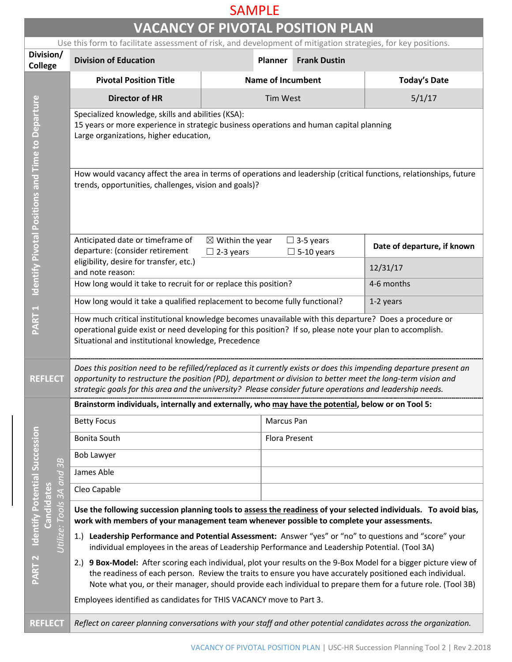## SAMPLE

| <b>VACANCY OF PIVOTAL POSITION PLAN</b>                                                      |                                                                                                                                                                                                                                                                                                                                                                                                                                                                                                                                                                                                                                                                 |                                                 |                                       |                             |  |  |  |
|----------------------------------------------------------------------------------------------|-----------------------------------------------------------------------------------------------------------------------------------------------------------------------------------------------------------------------------------------------------------------------------------------------------------------------------------------------------------------------------------------------------------------------------------------------------------------------------------------------------------------------------------------------------------------------------------------------------------------------------------------------------------------|-------------------------------------------------|---------------------------------------|-----------------------------|--|--|--|
|                                                                                              | Use this form to facilitate assessment of risk, and development of mitigation strategies, for key positions.                                                                                                                                                                                                                                                                                                                                                                                                                                                                                                                                                    |                                                 |                                       |                             |  |  |  |
| Division/<br><b>College</b>                                                                  | <b>Division of Education</b>                                                                                                                                                                                                                                                                                                                                                                                                                                                                                                                                                                                                                                    | <b>Planner</b>                                  | <b>Frank Dustin</b>                   |                             |  |  |  |
| <b>Identify Pivotal Positions and Time to Departure</b>                                      | <b>Pivotal Position Title</b>                                                                                                                                                                                                                                                                                                                                                                                                                                                                                                                                                                                                                                   | <b>Name of Incumbent</b>                        |                                       | <b>Today's Date</b>         |  |  |  |
|                                                                                              | <b>Director of HR</b>                                                                                                                                                                                                                                                                                                                                                                                                                                                                                                                                                                                                                                           | <b>Tim West</b>                                 |                                       | 5/1/17                      |  |  |  |
|                                                                                              | Specialized knowledge, skills and abilities (KSA):<br>15 years or more experience in strategic business operations and human capital planning<br>Large organizations, higher education,                                                                                                                                                                                                                                                                                                                                                                                                                                                                         |                                                 |                                       |                             |  |  |  |
|                                                                                              | How would vacancy affect the area in terms of operations and leadership (critical functions, relationships, future<br>trends, opportunities, challenges, vision and goals)?                                                                                                                                                                                                                                                                                                                                                                                                                                                                                     |                                                 |                                       |                             |  |  |  |
|                                                                                              | Anticipated date or timeframe of<br>departure: (consider retirement                                                                                                                                                                                                                                                                                                                                                                                                                                                                                                                                                                                             | $\boxtimes$ Within the year<br>$\Box$ 2-3 years | $\Box$ 3-5 years<br>$\Box$ 5-10 years | Date of departure, if known |  |  |  |
|                                                                                              | eligibility, desire for transfer, etc.)<br>and note reason:                                                                                                                                                                                                                                                                                                                                                                                                                                                                                                                                                                                                     |                                                 |                                       | 12/31/17                    |  |  |  |
|                                                                                              | How long would it take to recruit for or replace this position?                                                                                                                                                                                                                                                                                                                                                                                                                                                                                                                                                                                                 |                                                 |                                       | 4-6 months                  |  |  |  |
|                                                                                              | How long would it take a qualified replacement to become fully functional?<br>1-2 years                                                                                                                                                                                                                                                                                                                                                                                                                                                                                                                                                                         |                                                 |                                       |                             |  |  |  |
| PART <sub>1</sub>                                                                            | How much critical institutional knowledge becomes unavailable with this departure? Does a procedure or<br>operational guide exist or need developing for this position? If so, please note your plan to accomplish.<br>Situational and institutional knowledge, Precedence                                                                                                                                                                                                                                                                                                                                                                                      |                                                 |                                       |                             |  |  |  |
| <b>REFLECT</b>                                                                               | Does this position need to be refilled/replaced as it currently exists or does this impending departure present an<br>opportunity to restructure the position (PD), department or division to better meet the long-term vision and<br>strategic goals for this area and the university? Please consider future operations and leadership needs.                                                                                                                                                                                                                                                                                                                 |                                                 |                                       |                             |  |  |  |
|                                                                                              | Brainstorm individuals, internally and externally, who may have the potential, below or on Tool 5:                                                                                                                                                                                                                                                                                                                                                                                                                                                                                                                                                              |                                                 |                                       |                             |  |  |  |
|                                                                                              | <b>Betty Focus</b>                                                                                                                                                                                                                                                                                                                                                                                                                                                                                                                                                                                                                                              |                                                 | Marcus Pan                            |                             |  |  |  |
|                                                                                              | <b>Bonita South</b>                                                                                                                                                                                                                                                                                                                                                                                                                                                                                                                                                                                                                                             |                                                 | Flora Present                         |                             |  |  |  |
| B<br>$\tilde{ }$<br>$\overline{and}$                                                         | <b>Bob Lawyer</b>                                                                                                                                                                                                                                                                                                                                                                                                                                                                                                                                                                                                                                               |                                                 |                                       |                             |  |  |  |
|                                                                                              | James Able                                                                                                                                                                                                                                                                                                                                                                                                                                                                                                                                                                                                                                                      |                                                 |                                       |                             |  |  |  |
|                                                                                              | Cleo Capable                                                                                                                                                                                                                                                                                                                                                                                                                                                                                                                                                                                                                                                    |                                                 |                                       |                             |  |  |  |
| <b>Identify Potential Succession</b><br>Candidates<br>Utilize: Tools 3A<br>PART <sub>2</sub> | Use the following succession planning tools to assess the readiness of your selected individuals. To avoid bias,<br>work with members of your management team whenever possible to complete your assessments.<br>Leadership Performance and Potential Assessment: Answer "yes" or "no" to questions and "score" your<br>1.<br>individual employees in the areas of Leadership Performance and Leadership Potential. (Tool 3A)<br>2.) 9 Box-Model: After scoring each individual, plot your results on the 9-Box Model for a bigger picture view of<br>the readiness of each person. Review the traits to ensure you have accurately positioned each individual. |                                                 |                                       |                             |  |  |  |
|                                                                                              | Note what you, or their manager, should provide each individual to prepare them for a future role. (Tool 3B)<br>Employees identified as candidates for THIS VACANCY move to Part 3.                                                                                                                                                                                                                                                                                                                                                                                                                                                                             |                                                 |                                       |                             |  |  |  |
| <b>REFLECT</b>                                                                               | Reflect on career planning conversations with your staff and other potential candidates across the organization.                                                                                                                                                                                                                                                                                                                                                                                                                                                                                                                                                |                                                 |                                       |                             |  |  |  |